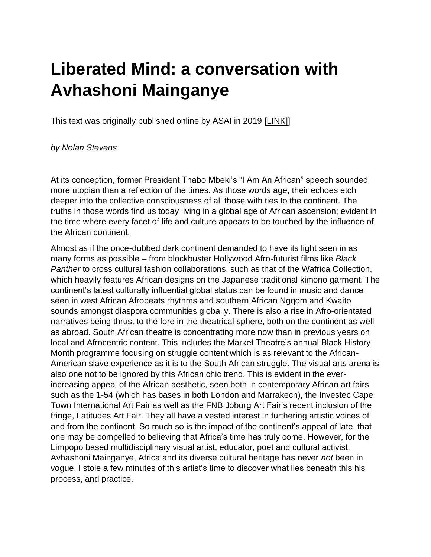## **Liberated Mind: a conversation with Avhashoni Mainganye**

This text was originally published online by ASAI in 2019 [\[LINK\]\]](https://asai.co.za/mainganye-liberated-mind/)

## *by Nolan Stevens*

At its conception, former President Thabo Mbeki's "I Am An African" speech sounded more utopian than a reflection of the times. As those words age, their echoes etch deeper into the collective consciousness of all those with ties to the continent. The truths in those words find us today living in a global age of African ascension; evident in the time where every facet of life and culture appears to be touched by the influence of the African continent.

Almost as if the once-dubbed dark continent demanded to have its light seen in as many forms as possible – from blockbuster Hollywood Afro-futurist films like *Black Panther* to cross cultural fashion collaborations, such as that of the Wafrica Collection, which heavily features African designs on the Japanese traditional kimono garment. The continent's latest culturally influential global status can be found in music and dance seen in west African Afrobeats rhythms and southern African Ngqom and Kwaito sounds amongst diaspora communities globally. There is also a rise in Afro-orientated narratives being thrust to the fore in the theatrical sphere, both on the continent as well as abroad. South African theatre is concentrating more now than in previous years on local and Afrocentric content. This includes the Market Theatre's annual Black History Month programme focusing on struggle content which is as relevant to the African-American slave experience as it is to the South African struggle. The visual arts arena is also one not to be ignored by this African chic trend. This is evident in the everincreasing appeal of the African aesthetic, seen both in contemporary African art fairs such as the 1-54 (which has bases in both London and Marrakech), the Investec Cape Town International Art Fair as well as the FNB Joburg Art Fair's recent inclusion of the fringe, Latitudes Art Fair. They all have a vested interest in furthering artistic voices of and from the continent. So much so is the impact of the continent's appeal of late, that one may be compelled to believing that Africa's time has truly come. However, for the Limpopo based multidisciplinary visual artist, educator, poet and cultural activist, Avhashoni Mainganye, Africa and its diverse cultural heritage has never *not* been in vogue. I stole a few minutes of this artist's time to discover what lies beneath this his process, and practice.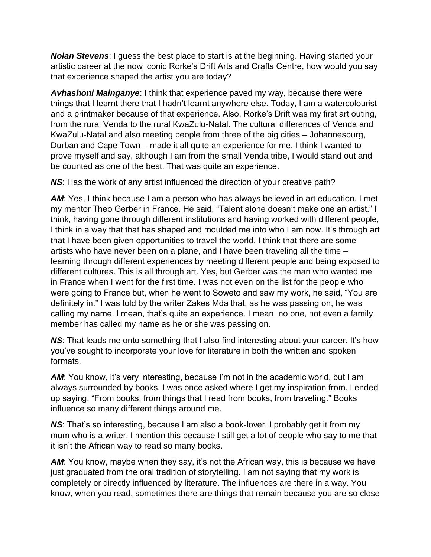*Nolan Stevens*: I guess the best place to start is at the beginning. Having started your artistic career at the now iconic Rorke's Drift Arts and Crafts Centre, how would you say that experience shaped the artist you are today?

*Avhashoni Mainganye*: I think that experience paved my way, because there were things that I learnt there that I hadn't learnt anywhere else. Today, I am a watercolourist and a printmaker because of that experience. Also, Rorke's Drift was my first art outing, from the rural Venda to the rural KwaZulu-Natal. The cultural differences of Venda and KwaZulu-Natal and also meeting people from three of the big cities – Johannesburg, Durban and Cape Town – made it all quite an experience for me. I think I wanted to prove myself and say, although I am from the small Venda tribe, I would stand out and be counted as one of the best. That was quite an experience.

*NS*: Has the work of any artist influenced the direction of your creative path?

**AM:** Yes, I think because I am a person who has always believed in art education. I met my mentor Theo Gerber in France. He said, "Talent alone doesn't make one an artist." I think, having gone through different institutions and having worked with different people, I think in a way that that has shaped and moulded me into who I am now. It's through art that I have been given opportunities to travel the world. I think that there are some artists who have never been on a plane, and I have been traveling all the time – learning through different experiences by meeting different people and being exposed to different cultures. This is all through art. Yes, but Gerber was the man who wanted me in France when I went for the first time. I was not even on the list for the people who were going to France but, when he went to Soweto and saw my work, he said, "You are definitely in." I was told by the writer Zakes Mda that, as he was passing on, he was calling my name. I mean, that's quite an experience. I mean, no one, not even a family member has called my name as he or she was passing on.

**NS:** That leads me onto something that I also find interesting about your career. It's how you've sought to incorporate your love for literature in both the written and spoken formats.

**AM:** You know, it's very interesting, because I'm not in the academic world, but I am always surrounded by books. I was once asked where I get my inspiration from. I ended up saying, "From books, from things that I read from books, from traveling." Books influence so many different things around me.

**NS:** That's so interesting, because I am also a book-lover. I probably get it from my mum who is a writer. I mention this because I still get a lot of people who say to me that it isn't the African way to read so many books.

*AM*: You know, maybe when they say, it's not the African way, this is because we have just graduated from the oral tradition of storytelling. I am not saying that my work is completely or directly influenced by literature. The influences are there in a way. You know, when you read, sometimes there are things that remain because you are so close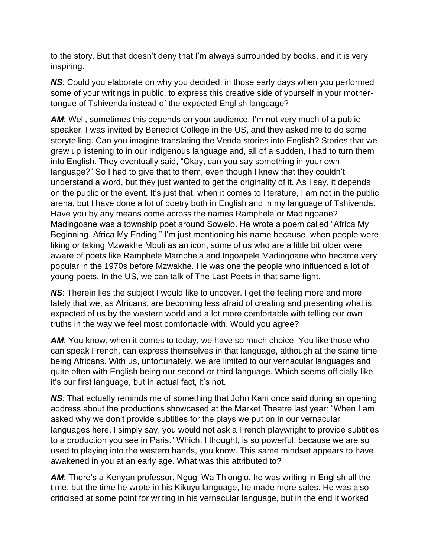to the story. But that doesn't deny that I'm always surrounded by books, and it is very inspiring.

*NS*: Could you elaborate on why you decided, in those early days when you performed some of your writings in public, to express this creative side of yourself in your mothertongue of Tshivenda instead of the expected English language?

**AM:** Well, sometimes this depends on your audience. I'm not very much of a public speaker. I was invited by Benedict College in the US, and they asked me to do some storytelling. Can you imagine translating the Venda stories into English? Stories that we grew up listening to in our indigenous language and, all of a sudden, I had to turn them into English. They eventually said, "Okay, can you say something in your own language?" So I had to give that to them, even though I knew that they couldn't understand a word, but they just wanted to get the originality of it. As I say, it depends on the public or the event. It's just that, when it comes to literature, I am not in the public arena, but I have done a lot of poetry both in English and in my language of Tshivenda. Have you by any means come across the names Ramphele or Madingoane? Madingoane was a township poet around Soweto. He wrote a poem called "Africa My Beginning, Africa My Ending." I'm just mentioning his name because, when people were liking or taking Mzwakhe Mbuli as an icon, some of us who are a little bit older were aware of poets like Ramphele Mamphela and Ingoapele Madingoane who became very popular in the 1970s before Mzwakhe. He was one the people who influenced a lot of young poets. In the US, we can talk of The Last Poets in that same light.

**NS:** Therein lies the subject I would like to uncover. I get the feeling more and more lately that we, as Africans, are becoming less afraid of creating and presenting what is expected of us by the western world and a lot more comfortable with telling our own truths in the way we feel most comfortable with. Would you agree?

**AM:** You know, when it comes to today, we have so much choice. You like those who can speak French, can express themselves in that language, although at the same time being Africans. With us, unfortunately, we are limited to our vernacular languages and quite often with English being our second or third language. Which seems officially like it's our first language, but in actual fact, it's not.

*NS*: That actually reminds me of something that John Kani once said during an opening address about the productions showcased at the Market Theatre last year: "When I am asked why we don't provide subtitles for the plays we put on in our vernacular languages here, I simply say, you would not ask a French playwright to provide subtitles to a production you see in Paris." Which, I thought, is so powerful, because we are so used to playing into the western hands, you know. This same mindset appears to have awakened in you at an early age. What was this attributed to?

*AM*: There's a Kenyan professor, Ngugi Wa Thiong'o, he was writing in English all the time, but the time he wrote in his Kikuyu language, he made more sales. He was also criticised at some point for writing in his vernacular language, but in the end it worked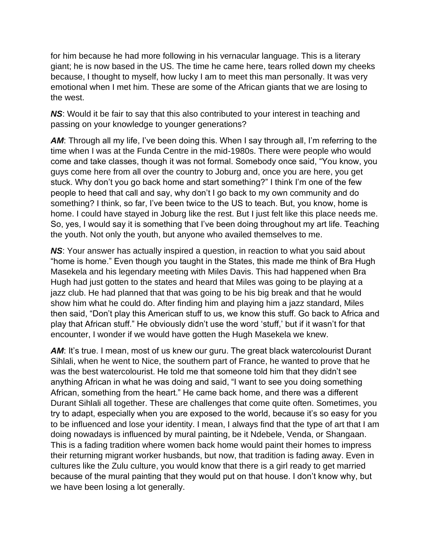for him because he had more following in his vernacular language. This is a literary giant; he is now based in the US. The time he came here, tears rolled down my cheeks because, I thought to myself, how lucky I am to meet this man personally. It was very emotional when I met him. These are some of the African giants that we are losing to the west.

*NS*: Would it be fair to say that this also contributed to your interest in teaching and passing on your knowledge to younger generations?

**AM:** Through all my life, I've been doing this. When I say through all, I'm referring to the time when I was at the Funda Centre in the mid-1980s. There were people who would come and take classes, though it was not formal. Somebody once said, "You know, you guys come here from all over the country to Joburg and, once you are here, you get stuck. Why don't you go back home and start something?" I think I'm one of the few people to heed that call and say, why don't I go back to my own community and do something? I think, so far, I've been twice to the US to teach. But, you know, home is home. I could have stayed in Joburg like the rest. But I just felt like this place needs me. So, yes, I would say it is something that I've been doing throughout my art life. Teaching the youth. Not only the youth, but anyone who availed themselves to me.

*NS*: Your answer has actually inspired a question, in reaction to what you said about "home is home." Even though you taught in the States, this made me think of Bra Hugh Masekela and his legendary meeting with Miles Davis. This had happened when Bra Hugh had just gotten to the states and heard that Miles was going to be playing at a jazz club. He had planned that that was going to be his big break and that he would show him what he could do. After finding him and playing him a jazz standard, Miles then said, "Don't play this American stuff to us, we know this stuff. Go back to Africa and play that African stuff." He obviously didn't use the word 'stuff,' but if it wasn't for that encounter, I wonder if we would have gotten the Hugh Masekela we knew.

**AM:** It's true. I mean, most of us knew our guru. The great black watercolourist Durant Sihlali, when he went to Nice, the southern part of France, he wanted to prove that he was the best watercolourist. He told me that someone told him that they didn't see anything African in what he was doing and said, "I want to see you doing something African, something from the heart." He came back home, and there was a different Durant Sihlali all together. These are challenges that come quite often. Sometimes, you try to adapt, especially when you are exposed to the world, because it's so easy for you to be influenced and lose your identity. I mean, I always find that the type of art that I am doing nowadays is influenced by mural painting, be it Ndebele, Venda, or Shangaan. This is a fading tradition where women back home would paint their homes to impress their returning migrant worker husbands, but now, that tradition is fading away. Even in cultures like the Zulu culture, you would know that there is a girl ready to get married because of the mural painting that they would put on that house. I don't know why, but we have been losing a lot generally.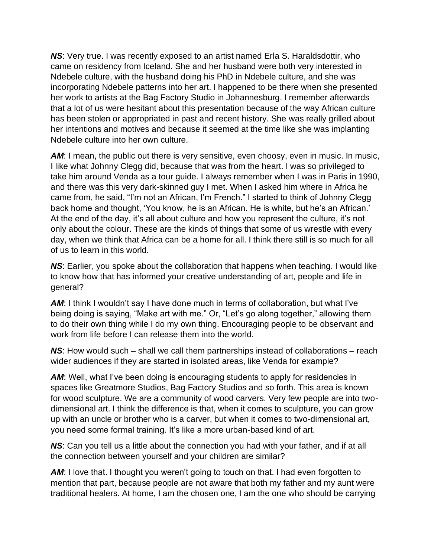*NS*: Very true. I was recently exposed to an artist named Erla S. Haraldsdottir, who came on residency from Iceland. She and her husband were both very interested in Ndebele culture, with the husband doing his PhD in Ndebele culture, and she was incorporating Ndebele patterns into her art. I happened to be there when she presented her work to artists at the Bag Factory Studio in Johannesburg. I remember afterwards that a lot of us were hesitant about this presentation because of the way African culture has been stolen or appropriated in past and recent history. She was really grilled about her intentions and motives and because it seemed at the time like she was implanting Ndebele culture into her own culture.

**AM:** I mean, the public out there is very sensitive, even choosy, even in music. In music, I like what Johnny Clegg did, because that was from the heart. I was so privileged to take him around Venda as a tour guide. I always remember when I was in Paris in 1990, and there was this very dark-skinned guy I met. When I asked him where in Africa he came from, he said, "I'm not an African, I'm French." I started to think of Johnny Clegg back home and thought, 'You know, he is an African. He is white, but he's an African.' At the end of the day, it's all about culture and how you represent the culture, it's not only about the colour. These are the kinds of things that some of us wrestle with every day, when we think that Africa can be a home for all. I think there still is so much for all of us to learn in this world.

*NS*: Earlier, you spoke about the collaboration that happens when teaching. I would like to know how that has informed your creative understanding of art, people and life in general?

*AM*: I think I wouldn't say I have done much in terms of collaboration, but what I've being doing is saying, "Make art with me." Or, "Let's go along together," allowing them to do their own thing while I do my own thing. Encouraging people to be observant and work from life before I can release them into the world.

*NS*: How would such – shall we call them partnerships instead of collaborations – reach wider audiences if they are started in isolated areas, like Venda for example?

**AM:** Well, what I've been doing is encouraging students to apply for residencies in spaces like Greatmore Studios, Bag Factory Studios and so forth. This area is known for wood sculpture. We are a community of wood carvers. Very few people are into twodimensional art. I think the difference is that, when it comes to sculpture, you can grow up with an uncle or brother who is a carver, but when it comes to two-dimensional art, you need some formal training. It's like a more urban-based kind of art.

*NS*: Can you tell us a little about the connection you had with your father, and if at all the connection between yourself and your children are similar?

**AM:** I love that. I thought you weren't going to touch on that. I had even forgotten to mention that part, because people are not aware that both my father and my aunt were traditional healers. At home, I am the chosen one, I am the one who should be carrying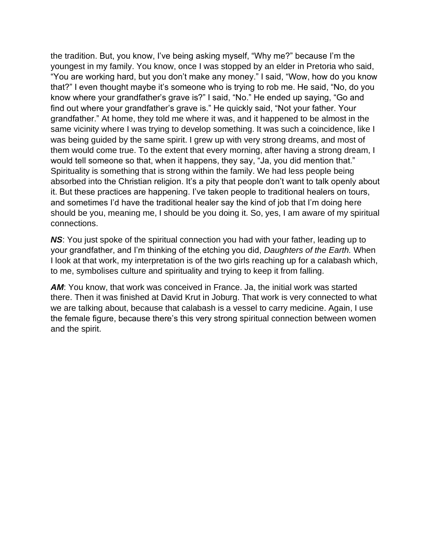the tradition. But, you know, I've being asking myself, "Why me?" because I'm the youngest in my family. You know, once I was stopped by an elder in Pretoria who said, "You are working hard, but you don't make any money." I said, "Wow, how do you know that?" I even thought maybe it's someone who is trying to rob me. He said, "No, do you know where your grandfather's grave is?" I said, "No." He ended up saying, "Go and find out where your grandfather's grave is." He quickly said, "Not your father. Your grandfather." At home, they told me where it was, and it happened to be almost in the same vicinity where I was trying to develop something. It was such a coincidence, like I was being guided by the same spirit. I grew up with very strong dreams, and most of them would come true. To the extent that every morning, after having a strong dream, I would tell someone so that, when it happens, they say, "Ja, you did mention that." Spirituality is something that is strong within the family. We had less people being absorbed into the Christian religion. It's a pity that people don't want to talk openly about it. But these practices are happening. I've taken people to traditional healers on tours, and sometimes I'd have the traditional healer say the kind of job that I'm doing here should be you, meaning me, I should be you doing it. So, yes, I am aware of my spiritual connections.

*NS*: You just spoke of the spiritual connection you had with your father, leading up to your grandfather, and I'm thinking of the etching you did, *Daughters of the Earth.* When I look at that work, my interpretation is of the two girls reaching up for a calabash which, to me, symbolises culture and spirituality and trying to keep it from falling.

**AM:** You know, that work was conceived in France. Ja, the initial work was started there. Then it was finished at David Krut in Joburg. That work is very connected to what we are talking about, because that calabash is a vessel to carry medicine. Again, I use the female figure, because there's this very strong spiritual connection between women and the spirit.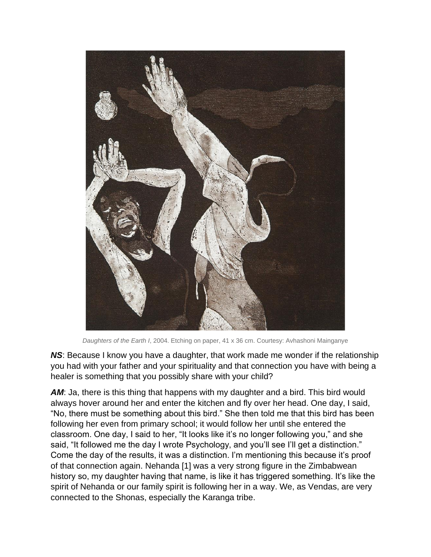

*Daughters of the Earth I*, 2004. Etching on paper, 41 x 36 cm. Courtesy: Avhashoni Mainganye

*NS*: Because I know you have a daughter, that work made me wonder if the relationship you had with your father and your spirituality and that connection you have with being a healer is something that you possibly share with your child?

**AM:** Ja, there is this thing that happens with my daughter and a bird. This bird would always hover around her and enter the kitchen and fly over her head. One day, I said, "No, there must be something about this bird." She then told me that this bird has been following her even from primary school; it would follow her until she entered the classroom. One day, I said to her, "It looks like it's no longer following you," and she said, "It followed me the day I wrote Psychology, and you'll see I'll get a distinction." Come the day of the results, it was a distinction. I'm mentioning this because it's proof of that connection again. Nehanda [1] was a very strong figure in the Zimbabwean history so, my daughter having that name, is like it has triggered something. It's like the spirit of Nehanda or our family spirit is following her in a way. We, as Vendas, are very connected to the Shonas, especially the Karanga tribe.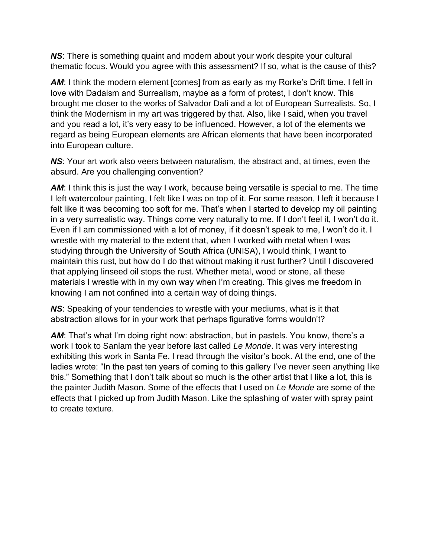*NS*: There is something quaint and modern about your work despite your cultural thematic focus. Would you agree with this assessment? If so, what is the cause of this?

**AM:** I think the modern element [comes] from as early as my Rorke's Drift time. I fell in love with Dadaism and Surrealism, maybe as a form of protest, I don't know. This brought me closer to the works of Salvador Dalí and a lot of European Surrealists. So, I think the Modernism in my art was triggered by that. Also, like I said, when you travel and you read a lot, it's very easy to be influenced. However, a lot of the elements we regard as being European elements are African elements that have been incorporated into European culture.

*NS*: Your art work also veers between naturalism, the abstract and, at times, even the absurd. Are you challenging convention?

**AM:** I think this is just the way I work, because being versatile is special to me. The time I left watercolour painting, I felt like I was on top of it. For some reason, I left it because I felt like it was becoming too soft for me. That's when I started to develop my oil painting in a very surrealistic way. Things come very naturally to me. If I don't feel it, I won't do it. Even if I am commissioned with a lot of money, if it doesn't speak to me, I won't do it. I wrestle with my material to the extent that, when I worked with metal when I was studying through the University of South Africa (UNISA), I would think, I want to maintain this rust, but how do I do that without making it rust further? Until I discovered that applying linseed oil stops the rust. Whether metal, wood or stone, all these materials I wrestle with in my own way when I'm creating. This gives me freedom in knowing I am not confined into a certain way of doing things.

*NS*: Speaking of your tendencies to wrestle with your mediums, what is it that abstraction allows for in your work that perhaps figurative forms wouldn't?

**AM:** That's what I'm doing right now: abstraction, but in pastels. You know, there's a work I took to Sanlam the year before last called *Le Monde*. It was very interesting exhibiting this work in Santa Fe. I read through the visitor's book. At the end, one of the ladies wrote: "In the past ten years of coming to this gallery I've never seen anything like this." Something that I don't talk about so much is the other artist that I like a lot, this is the painter Judith Mason. Some of the effects that I used on *Le Monde* are some of the effects that I picked up from Judith Mason. Like the splashing of water with spray paint to create texture.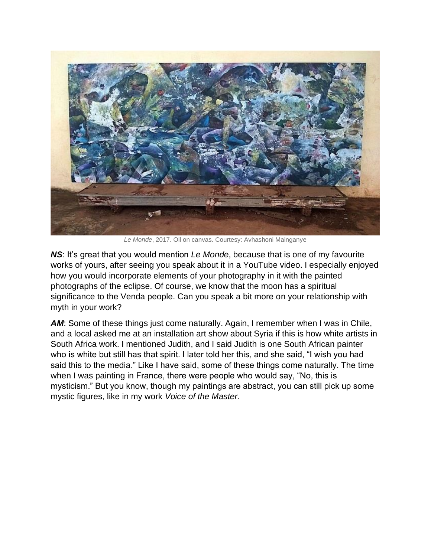

*Le Monde*, 2017. Oil on canvas. Courtesy: Avhashoni Mainganye

*NS*: It's great that you would mention *Le Monde*, because that is one of my favourite works of yours, after seeing you speak about it in a YouTube video. I especially enjoyed how you would incorporate elements of your photography in it with the painted photographs of the eclipse. Of course, we know that the moon has a spiritual significance to the Venda people. Can you speak a bit more on your relationship with myth in your work?

**AM:** Some of these things just come naturally. Again, I remember when I was in Chile, and a local asked me at an installation art show about Syria if this is how white artists in South Africa work. I mentioned Judith, and I said Judith is one South African painter who is white but still has that spirit. I later told her this, and she said, "I wish you had said this to the media." Like I have said, some of these things come naturally. The time when I was painting in France, there were people who would say, "No, this is mysticism." But you know, though my paintings are abstract, you can still pick up some mystic figures, like in my work *Voice of the Master*.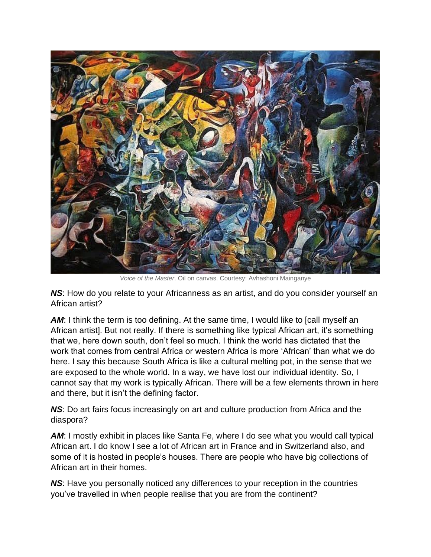

*Voice of the Master*. Oil on canvas. Courtesy: Avhashoni Mainganye

*NS*: How do you relate to your Africanness as an artist, and do you consider yourself an African artist?

**AM:** I think the term is too defining. At the same time, I would like to [call myself an African artist]. But not really. If there is something like typical African art, it's something that we, here down south, don't feel so much. I think the world has dictated that the work that comes from central Africa or western Africa is more 'African' than what we do here. I say this because South Africa is like a cultural melting pot, in the sense that we are exposed to the whole world. In a way, we have lost our individual identity. So, I cannot say that my work is typically African. There will be a few elements thrown in here and there, but it isn't the defining factor.

*NS*: Do art fairs focus increasingly on art and culture production from Africa and the diaspora?

**AM:** I mostly exhibit in places like Santa Fe, where I do see what you would call typical African art. I do know I see a lot of African art in France and in Switzerland also, and some of it is hosted in people's houses. There are people who have big collections of African art in their homes.

*NS*: Have you personally noticed any differences to your reception in the countries you've travelled in when people realise that you are from the continent?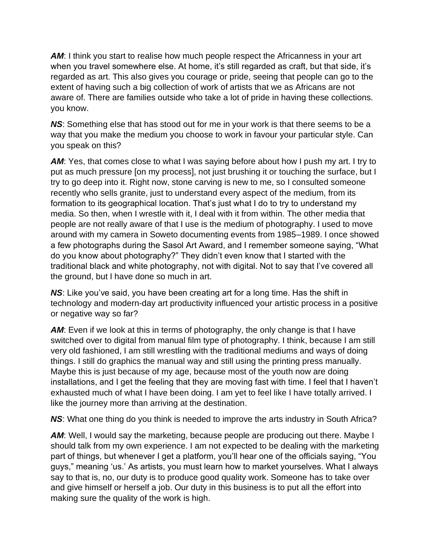**AM:** I think you start to realise how much people respect the Africanness in your art when you travel somewhere else. At home, it's still regarded as craft, but that side, it's regarded as art. This also gives you courage or pride, seeing that people can go to the extent of having such a big collection of work of artists that we as Africans are not aware of. There are families outside who take a lot of pride in having these collections. you know.

*NS*: Something else that has stood out for me in your work is that there seems to be a way that you make the medium you choose to work in favour your particular style. Can you speak on this?

**AM:** Yes, that comes close to what I was saying before about how I push my art. I try to put as much pressure [on my process], not just brushing it or touching the surface, but I try to go deep into it. Right now, stone carving is new to me, so I consulted someone recently who sells granite, just to understand every aspect of the medium, from its formation to its geographical location. That's just what I do to try to understand my media. So then, when I wrestle with it, I deal with it from within. The other media that people are not really aware of that I use is the medium of photography. I used to move around with my camera in Soweto documenting events from 1985–1989. I once showed a few photographs during the Sasol Art Award, and I remember someone saying, "What do you know about photography?" They didn't even know that I started with the traditional black and white photography, not with digital. Not to say that I've covered all the ground, but I have done so much in art.

*NS*: Like you've said, you have been creating art for a long time. Has the shift in technology and modern-day art productivity influenced your artistic process in a positive or negative way so far?

**AM:** Even if we look at this in terms of photography, the only change is that I have switched over to digital from manual film type of photography. I think, because I am still very old fashioned, I am still wrestling with the traditional mediums and ways of doing things. I still do graphics the manual way and still using the printing press manually. Maybe this is just because of my age, because most of the youth now are doing installations, and I get the feeling that they are moving fast with time. I feel that I haven't exhausted much of what I have been doing. I am yet to feel like I have totally arrived. I like the journey more than arriving at the destination.

*NS*: What one thing do you think is needed to improve the arts industry in South Africa?

**AM:** Well, I would say the marketing, because people are producing out there. Maybe I should talk from my own experience. I am not expected to be dealing with the marketing part of things, but whenever I get a platform, you'll hear one of the officials saying, "You guys," meaning 'us.' As artists, you must learn how to market yourselves. What I always say to that is, no, our duty is to produce good quality work. Someone has to take over and give himself or herself a job. Our duty in this business is to put all the effort into making sure the quality of the work is high.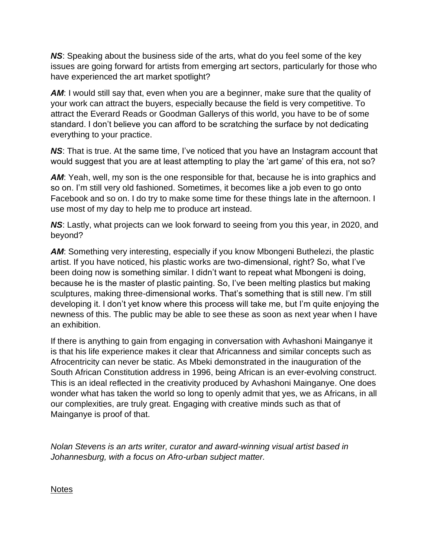*NS*: Speaking about the business side of the arts, what do you feel some of the key issues are going forward for artists from emerging art sectors, particularly for those who have experienced the art market spotlight?

**AM:** I would still say that, even when you are a beginner, make sure that the quality of your work can attract the buyers, especially because the field is very competitive. To attract the Everard Reads or Goodman Gallerys of this world, you have to be of some standard. I don't believe you can afford to be scratching the surface by not dedicating everything to your practice.

**NS:** That is true. At the same time, I've noticed that you have an Instagram account that would suggest that you are at least attempting to play the 'art game' of this era, not so?

**AM:** Yeah, well, my son is the one responsible for that, because he is into graphics and so on. I'm still very old fashioned. Sometimes, it becomes like a job even to go onto Facebook and so on. I do try to make some time for these things late in the afternoon. I use most of my day to help me to produce art instead.

*NS*: Lastly, what projects can we look forward to seeing from you this year, in 2020, and beyond?

**AM:** Something very interesting, especially if you know Mbongeni Buthelezi, the plastic artist. If you have noticed, his plastic works are two-dimensional, right? So, what I've been doing now is something similar. I didn't want to repeat what Mbongeni is doing, because he is the master of plastic painting. So, I've been melting plastics but making sculptures, making three-dimensional works. That's something that is still new. I'm still developing it. I don't yet know where this process will take me, but I'm quite enjoying the newness of this. The public may be able to see these as soon as next year when I have an exhibition.

If there is anything to gain from engaging in conversation with Avhashoni Mainganye it is that his life experience makes it clear that Africanness and similar concepts such as Afrocentricity can never be static. As Mbeki demonstrated in the inauguration of the South African Constitution address in 1996, being African is an ever-evolving construct. This is an ideal reflected in the creativity produced by Avhashoni Mainganye. One does wonder what has taken the world so long to openly admit that yes, we as Africans, in all our complexities, are truly great. Engaging with creative minds such as that of Mainganye is proof of that.

*Nolan Stevens is an arts writer, curator and award-winning visual artist based in Johannesburg, with a focus on Afro-urban subject matter.*

**Notes**